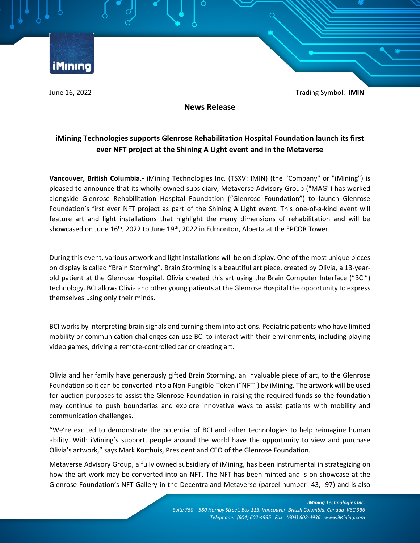iMinino

June 16, 2022 Trading Symbol: **IMIN**

**News Release**

# **iMining Technologies supports Glenrose Rehabilitation Hospital Foundation launch its first ever NFT project at the Shining A Light event and in the Metaverse**

**Vancouver, British Columbia.-** iMining Technologies Inc. (TSXV: IMIN) (the "Company" or "iMining") is pleased to announce that its wholly-owned subsidiary, Metaverse Advisory Group ("MAG") has worked alongside Glenrose Rehabilitation Hospital Foundation ("Glenrose Foundation") to launch Glenrose Foundation's first ever NFT project as part of the Shining A Light event. This one-of-a-kind event will feature art and light installations that highlight the many dimensions of rehabilitation and will be showcased on June  $16<sup>th</sup>$ , 2022 to June  $19<sup>th</sup>$ , 2022 in Edmonton, Alberta at the EPCOR Tower.

During this event, various artwork and light installations will be on display. One of the most unique pieces on display is called "Brain Storming". Brain Storming is a beautiful art piece, created by Olivia, a 13-yearold patient at the Glenrose Hospital. Olivia created this art using the Brain Computer Interface ("BCI") technology. BCI allows Olivia and other young patients at the Glenrose Hospital the opportunity to express themselves using only their minds.

BCI works by interpreting brain signals and turning them into actions. Pediatric patients who have limited mobility or communication challenges can use BCI to interact with their environments, including playing video games, driving a remote-controlled car or creating art.

Olivia and her family have generously gifted Brain Storming, an invaluable piece of art, to the Glenrose Foundation so it can be converted into a Non-Fungible-Token ("NFT") by iMining. The artwork will be used for auction purposes to assist the Glenrose Foundation in raising the required funds so the foundation may continue to push boundaries and explore innovative ways to assist patients with mobility and communication challenges.

"We're excited to demonstrate the potential of BCI and other technologies to help reimagine human ability. With iMining's support, people around the world have the opportunity to view and purchase Olivia's artwork," says Mark Korthuis, President and CEO of the Glenrose Foundation.

Metaverse Advisory Group, a fully owned subsidiary of iMining, has been instrumental in strategizing on how the art work may be converted into an NFT. The NFT has been minted and is on showcase at the Glenrose Foundation's NFT Gallery in the Decentraland Metaverse (parcel number -43, -97) and is also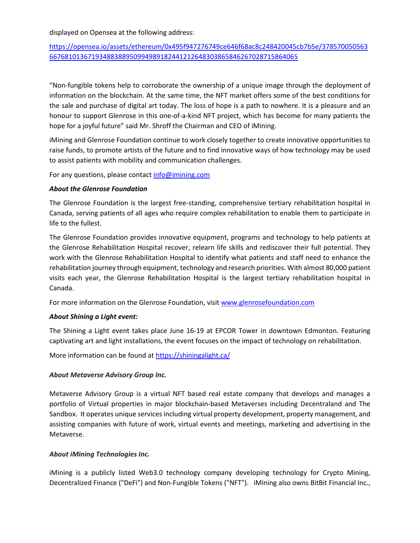displayed on Opensea at the following address:

[https://opensea.io/assets/ethereum/0x495f947276749ce646f68ac8c248420045cb7b5e/378570050563](https://opensea.io/assets/ethereum/0x495f947276749ce646f68ac8c248420045cb7b5e/37857005056366768101367193488388950994989182441212648303865846267028715864065) [66768101367193488388950994989182441212648303865846267028715864065](https://opensea.io/assets/ethereum/0x495f947276749ce646f68ac8c248420045cb7b5e/37857005056366768101367193488388950994989182441212648303865846267028715864065)

"Non-fungible tokens help to corroborate the ownership of a unique image through the deployment of information on the blockchain. At the same time, the NFT market offers some of the best conditions for the sale and purchase of digital art today. The loss of hope is a path to nowhere. It is a pleasure and an honour to support Glenrose in this one-of-a-kind NFT project, which has become for many patients the hope for a joyful future" said Mr. Shroff the Chairman and CEO of iMining.

iMining and Glenrose Foundation continue to work closely together to create innovative opportunities to raise funds, to promote artists of the future and to find innovative ways of how technology may be used to assist patients with mobility and communication challenges.

For any questions, please contac[t info@imining.com](mailto:info@imining.com)

#### *About the Glenrose Foundation*

The Glenrose Foundation is the largest free-standing, comprehensive tertiary rehabilitation hospital in Canada, serving patients of all ages who require complex rehabilitation to enable them to participate in life to the fullest.

The Glenrose Foundation provides innovative equipment, programs and technology to help patients at the Glenrose Rehabilitation Hospital recover, relearn life skills and rediscover their full potential. They work with the Glenrose Rehabilitation Hospital to identify what patients and staff need to enhance the rehabilitation journey through equipment, technology and research priorities. With almost 80,000 patient visits each year, the Glenrose Rehabilitation Hospital is the largest tertiary rehabilitation hospital in Canada.

For more information on the Glenrose Foundation, visit [www.glenrosefoundation.com](http://www.glenrosefoundation.com/)

## *About Shining a Light event:*

The Shining a Light event takes place June 16-19 at EPCOR Tower in downtown Edmonton. Featuring captivating art and light installations, the event focuses on the impact of technology on rehabilitation.

More information can be found at<https://shiningalight.ca/>

## *About Metaverse Advisory Group Inc.*

Metaverse Advisory Group is a virtual NFT based real estate company that develops and manages a portfolio of Virtual properties in major blockchain-based Metaverses including Decentraland and The Sandbox. It operates unique services including virtual property development, property management, and assisting companies with future of work, virtual events and meetings, marketing and advertising in the Metaverse.

## *About iMining Technologies Inc.*

iMining is a publicly listed Web3.0 technology company developing technology for Crypto Mining, Decentralized Finance ("DeFi") and Non-Fungible Tokens ("NFT"). iMining also owns BitBit Financial Inc.,